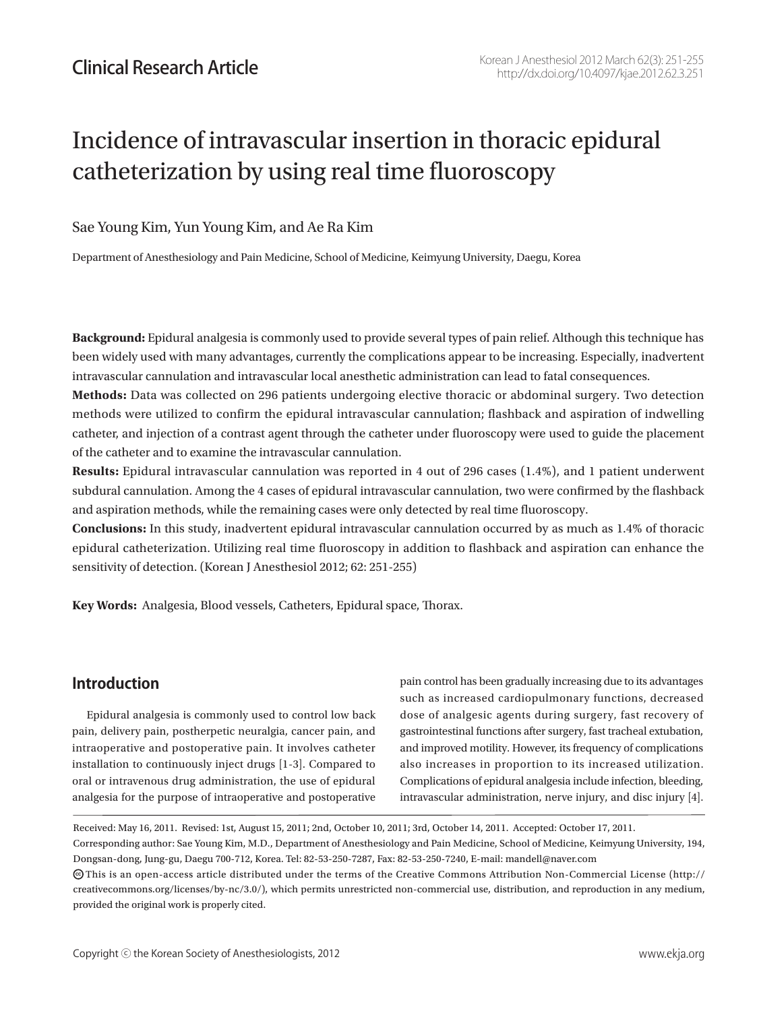# Incidence of intravascular insertion in thoracic epidural catheterization by using real time fluoroscopy

#### Sae Young Kim, Yun Young Kim, and Ae Ra Kim

Department of Anesthesiology and Pain Medicine, School of Medicine, Keimyung University, Daegu, Korea

**Background:** Epidural analgesia is commonly used to provide several types of pain relief. Although this technique has been widely used with many advantages, currently the complications appear to be increasing. Especially, inadvertent intravascular cannulation and intravascular local anesthetic administration can lead to fatal consequences.

**Methods:** Data was collected on 296 patients undergoing elective thoracic or abdominal surgery. Two detection methods were utilized to confirm the epidural intravascular cannulation; flashback and aspiration of indwelling catheter, and injection of a contrast agent through the catheter under fluoroscopy were used to guide the placement of the catheter and to examine the intravascular cannulation.

**Results:** Epidural intravascular cannulation was reported in 4 out of 296 cases (1.4%), and 1 patient underwent subdural cannulation. Among the 4 cases of epidural intravascular cannulation, two were confirmed by the flashback and aspiration methods, while the remaining cases were only detected by real time fluoroscopy.

**Conclusions:** In this study, inadvertent epidural intravascular cannulation occurred by as much as 1.4% of thoracic epidural catheterization. Utilizing real time fluoroscopy in addition to flashback and aspiration can enhance the sensitivity of detection. (Korean J Anesthesiol 2012; 62: 251-255)

**Key Words:** Analgesia, Blood vessels, Catheters, Epidural space, Thorax.

## **Introduction**

Epidural analgesia is commonly used to control low back pain, delivery pain, postherpetic neuralgia, cancer pain, and intraoperative and postoperative pain. It involves catheter installation to continuously inject drugs [1-3]. Compared to oral or intravenous drug administration, the use of epidural analgesia for the purpose of intraoperative and postoperative pain control has been gradually increasing due to its advantages such as increased cardiopulmonary functions, decreased dose of analgesic agents during surgery, fast recovery of gastrointestinal functions after surgery, fast tracheal extubation, and improved motility. However, its frequency of complications also increases in proportion to its increased utilization. Complications of epidural analgesia include infection, bleeding, intravascular administration, nerve injury, and disc injury [4].

Received: May 16, 2011. Revised: 1st, August 15, 2011; 2nd, October 10, 2011; 3rd, October 14, 2011. Accepted: October 17, 2011.

Corresponding author: Sae Young Kim, M.D., Department of Anesthesiology and Pain Medicine, School of Medicine, Keimyung University, 194, Dongsan-dong, Jung-gu, Daegu 700-712, Korea. Tel: 82-53-250-7287, Fax: 82-53-250-7240, E-mail: mandell@naver.com

 $\bm{\odot}$ This is an open-access article distributed under the terms of the Creative Commons Attribution Non-Commercial License (http:// creativecommons.org/licenses/by-nc/3.0/), which permits unrestricted non-commercial use, distribution, and reproduction in any medium, provided the original work is properly cited.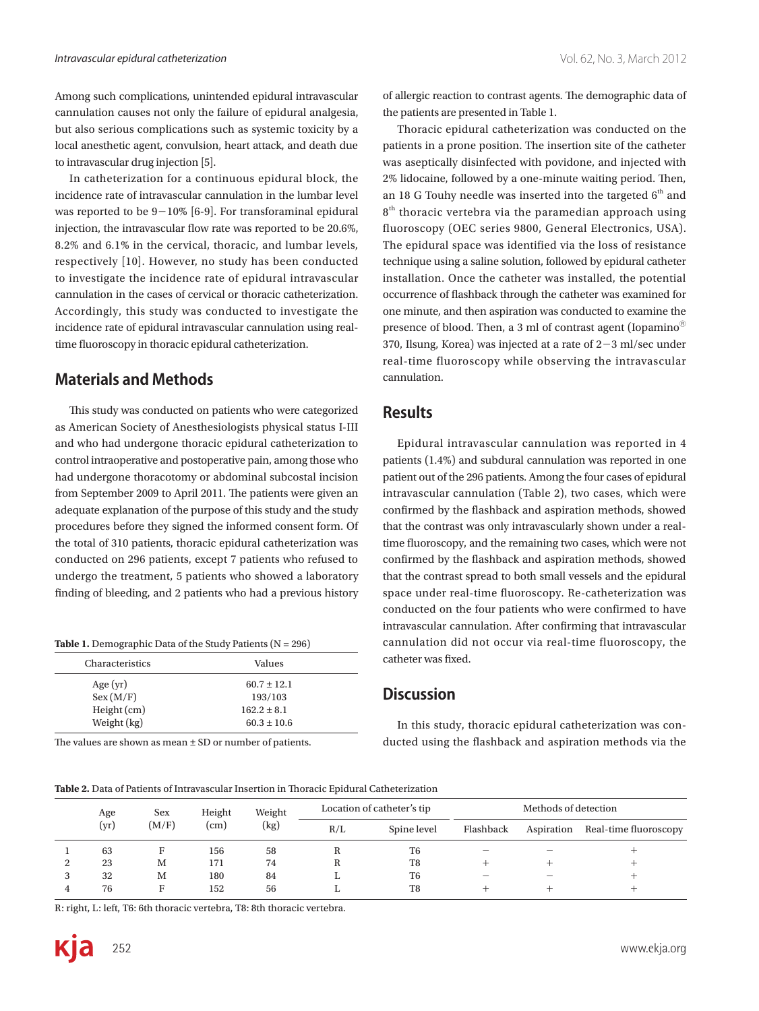Among such complications, unintended epidural intravascular cannulation causes not only the failure of epidural analgesia, but also serious complications such as systemic toxicity by a local anesthetic agent, convulsion, heart attack, and death due to intravascular drug injection [5].

In catheterization for a continuous epidural block, the incidence rate of intravascular cannulation in the lumbar level was reported to be  $9-10\%$  [6-9]. For transforaminal epidural injection, the intravascular flow rate was reported to be 20.6%, 8.2% and 6.1% in the cervical, thoracic, and lumbar levels, respectively [10]. However, no study has been conducted to investigate the incidence rate of epidural intravascular cannulation in the cases of cervical or thoracic catheterization. Accordingly, this study was conducted to investigate the incidence rate of epidural intravascular cannulation using realtime fluoroscopy in thoracic epidural catheterization.

## **Materials and Methods**

This study was conducted on patients who were categorized as American Society of Anesthesiologists physical status I-III and who had undergone thoracic epidural catheterization to control intraoperative and postoperative pain, among those who had undergone thoracotomy or abdominal subcostal incision from September 2009 to April 2011. The patients were given an adequate explanation of the purpose of this study and the study procedures before they signed the informed consent form. Of the total of 310 patients, thoracic epidural catheterization was conducted on 296 patients, except 7 patients who refused to undergo the treatment, 5 patients who showed a laboratory finding of bleeding, and 2 patients who had a previous history

**Table 1.** Demographic Data of the Study Patients (N = 296)

| Characteristics | Values          |  |
|-----------------|-----------------|--|
| Age $(yr)$      | $60.7 \pm 12.1$ |  |
| Sex (M/F)       | 193/103         |  |
| Height (cm)     | $162.2 \pm 8.1$ |  |
| Weight (kg)     | $60.3 \pm 10.6$ |  |

The values are shown as mean ± SD or number of patients.

of allergic reaction to contrast agents. The demographic data of the patients are presented in Table 1.

Thoracic epidural catheterization was conducted on the patients in a prone position. The insertion site of the catheter was aseptically disinfected with povidone, and injected with 2% lidocaine, followed by a one-minute waiting period. Then, an 18 G Touhy needle was inserted into the targeted  $6<sup>th</sup>$  and  $8<sup>th</sup>$  thoracic vertebra via the paramedian approach using fluoroscopy (OEC series 9800, General Electronics, USA). The epidural space was identified via the loss of resistance technique using a saline solution, followed by epidural catheter installation. Once the catheter was installed, the potential occurrence of flashback through the catheter was examined for one minute, and then aspiration was conducted to examine the presence of blood. Then, a 3 ml of contrast agent (Iopamino<sup>®</sup> 370, Ilsung, Korea) was injected at a rate of  $2-3$  ml/sec under real-time fluoroscopy while observing the intravascular cannulation.

## **Results**

Epidural intravascular cannulation was reported in 4 patients (1.4%) and subdural cannulation was reported in one patient out of the 296 patients. Among the four cases of epidural intravascular cannulation (Table 2), two cases, which were confirmed by the flashback and aspiration methods, showed that the contrast was only intravascularly shown under a realtime fluoroscopy, and the remaining two cases, which were not confirmed by the flashback and aspiration methods, showed that the contrast spread to both small vessels and the epidural space under real-time fluoroscopy. Re-catheterization was conducted on the four patients who were confirmed to have intravascular cannulation. After confirming that intravascular cannulation did not occur via real-time fluoroscopy, the catheter was fixed.

## **Discussion**

In this study, thoracic epidural catheterization was conducted using the flashback and aspiration methods via the

**Table 2.** Data of Patients of Intravascular Insertion in Thoracic Epidural Catheterization

|   | Age<br>(yr) | <b>Sex</b><br>(M/F) | Height<br>$\rm (cm)$ | Weight<br>(kg) | Location of catheter's tip |                | Methods of detection     |            |                       |
|---|-------------|---------------------|----------------------|----------------|----------------------------|----------------|--------------------------|------------|-----------------------|
|   |             |                     |                      |                | R/L                        | Spine level    | Flashback                | Aspiration | Real-time fluoroscopy |
|   | 63          |                     | 156                  | 58             |                            | T <sub>6</sub> |                          |            |                       |
| ▵ | 23          | М                   | 171                  | 74             |                            | T <sub>8</sub> |                          |            |                       |
| 3 | 32          | M                   | 180                  | 84             |                            | T <sub>6</sub> | $\overline{\phantom{a}}$ |            |                       |
|   | 76          |                     | 152                  | 56             |                            | T <sub>8</sub> |                          |            |                       |

R: right, L: left, T6: 6th thoracic vertebra, T8: 8th thoracic vertebra.

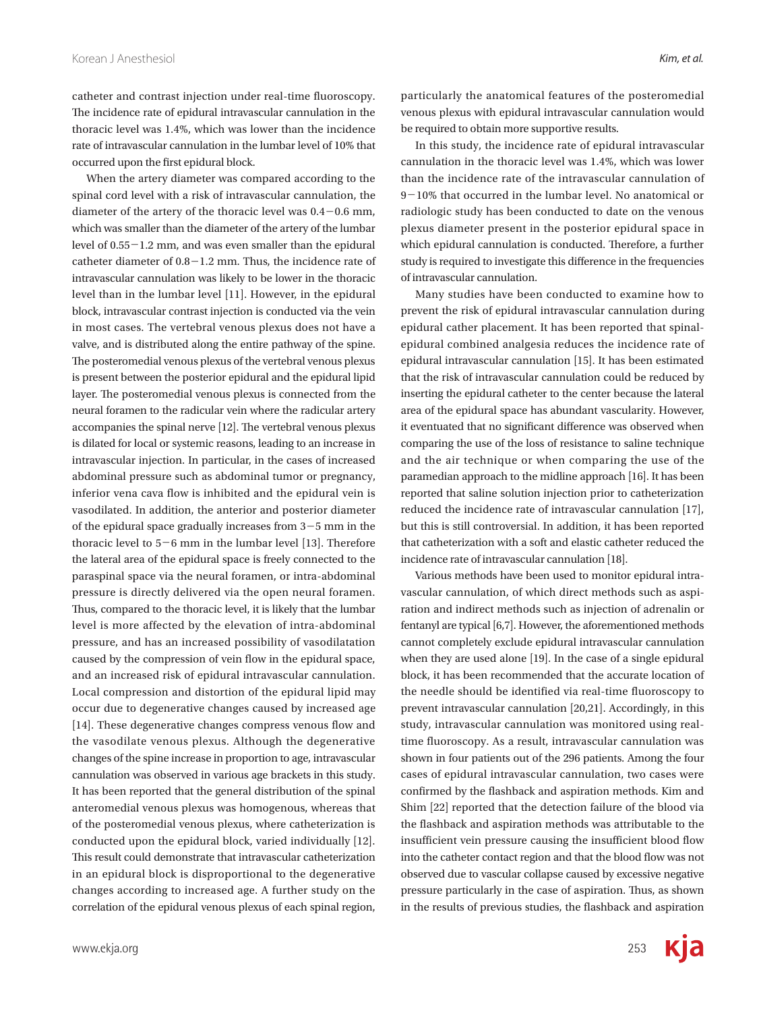occurred upon the first epidural block.

catheter and contrast injection under real-time fluoroscopy. The incidence rate of epidural intravascular cannulation in the thoracic level was 1.4%, which was lower than the incidence rate of intravascular cannulation in the lumbar level of 10% that

When the artery diameter was compared according to the spinal cord level with a risk of intravascular cannulation, the diameter of the artery of the thoracic level was  $0.4-0.6$  mm, which was smaller than the diameter of the artery of the lumbar level of 0.55-1.2 mm, and was even smaller than the epidural catheter diameter of  $0.8-1.2$  mm. Thus, the incidence rate of intravascular cannulation was likely to be lower in the thoracic level than in the lumbar level [11]. However, in the epidural block, intravascular contrast injection is conducted via the vein in most cases. The vertebral venous plexus does not have a valve, and is distributed along the entire pathway of the spine. The posteromedial venous plexus of the vertebral venous plexus is present between the posterior epidural and the epidural lipid layer. The posteromedial venous plexus is connected from the neural foramen to the radicular vein where the radicular artery accompanies the spinal nerve [12]. The vertebral venous plexus is dilated for local or systemic reasons, leading to an increase in intravascular injection. In particular, in the cases of increased abdominal pressure such as abdominal tumor or pregnancy, inferior vena cava flow is inhibited and the epidural vein is vasodilated. In addition, the anterior and posterior diameter of the epidural space gradually increases from 3-5 mm in the thoracic level to 5-6 mm in the lumbar level [13]. Therefore the lateral area of the epidural space is freely connected to the paraspinal space via the neural foramen, or intra-abdominal pressure is directly delivered via the open neural foramen. Thus, compared to the thoracic level, it is likely that the lumbar level is more affected by the elevation of intra-abdominal pressure, and has an increased possibility of vasodilatation caused by the compression of vein flow in the epidural space, and an increased risk of epidural intravascular cannulation. Local compression and distortion of the epidural lipid may occur due to degenerative changes caused by increased age [14]. These degenerative changes compress venous flow and the vasodilate venous plexus. Although the degenerative changes of the spine increase in proportion to age, intravascular cannulation was observed in various age brackets in this study. It has been reported that the general distribution of the spinal anteromedial venous plexus was homogenous, whereas that of the posteromedial venous plexus, where catheterization is conducted upon the epidural block, varied individually [12]. This result could demonstrate that intravascular catheterization in an epidural block is disproportional to the degenerative changes according to increased age. A further study on the correlation of the epidural venous plexus of each spinal region,

particularly the anatomical features of the posteromedial venous plexus with epidural intravascular cannulation would be required to obtain more supportive results.

In this study, the incidence rate of epidural intravascular cannulation in the thoracic level was 1.4%, which was lower than the incidence rate of the intravascular cannulation of 9-10% that occurred in the lumbar level. No anatomical or radiologic study has been conducted to date on the venous plexus diameter present in the posterior epidural space in which epidural cannulation is conducted. Therefore, a further study is required to investigate this difference in the frequencies of intravascular cannulation.

Many studies have been conducted to examine how to prevent the risk of epidural intravascular cannulation during epidural cather placement. It has been reported that spinalepidural combined analgesia reduces the incidence rate of epidural intravascular cannulation [15]. It has been estimated that the risk of intravascular cannulation could be reduced by inserting the epidural catheter to the center because the lateral area of the epidural space has abundant vascularity. However, it eventuated that no significant difference was observed when comparing the use of the loss of resistance to saline technique and the air technique or when comparing the use of the paramedian approach to the midline approach [16]. It has been reported that saline solution injection prior to catheterization reduced the incidence rate of intravascular cannulation [17], but this is still controversial. In addition, it has been reported that catheterization with a soft and elastic catheter reduced the incidence rate of intravascular cannulation [18].

Various methods have been used to monitor epidural intravascular cannulation, of which direct methods such as aspiration and indirect methods such as injection of adrenalin or fentanyl are typical [6,7]. However, the aforementioned methods cannot completely exclude epidural intravascular cannulation when they are used alone [19]. In the case of a single epidural block, it has been recommended that the accurate location of the needle should be identified via real-time fluoroscopy to prevent intravascular cannulation [20,21]. Accordingly, in this study, intravascular cannulation was monitored using realtime fluoroscopy. As a result, intravascular cannulation was shown in four patients out of the 296 patients. Among the four cases of epidural intravascular cannulation, two cases were confirmed by the flashback and aspiration methods. Kim and Shim [22] reported that the detection failure of the blood via the flashback and aspiration methods was attributable to the insufficient vein pressure causing the insufficient blood flow into the catheter contact region and that the blood flow was not observed due to vascular collapse caused by excessive negative pressure particularly in the case of aspiration. Thus, as shown in the results of previous studies, the flashback and aspiration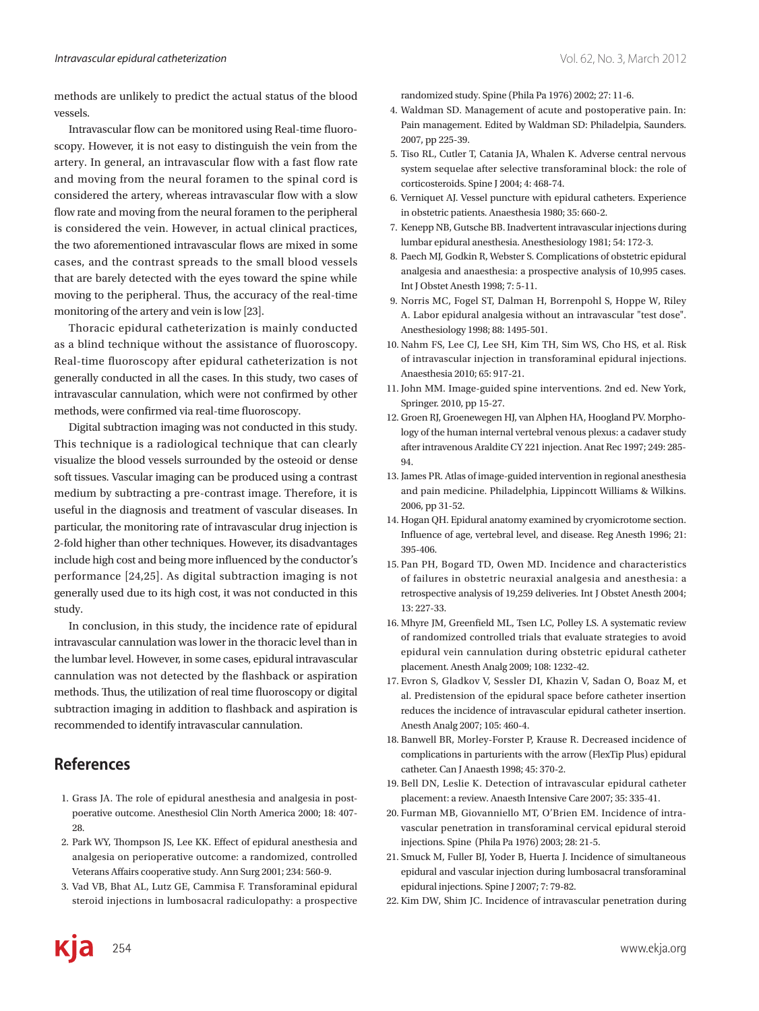methods are unlikely to predict the actual status of the blood vessels.

Intravascular flow can be monitored using Real-time fluoroscopy. However, it is not easy to distinguish the vein from the artery. In general, an intravascular flow with a fast flow rate and moving from the neural foramen to the spinal cord is considered the artery, whereas intravascular flow with a slow flow rate and moving from the neural foramen to the peripheral is considered the vein. However, in actual clinical practices, the two aforementioned intravascular flows are mixed in some cases, and the contrast spreads to the small blood vessels that are barely detected with the eyes toward the spine while moving to the peripheral. Thus, the accuracy of the real-time monitoring of the artery and vein is low [23].

Thoracic epidural catheterization is mainly conducted as a blind technique without the assistance of fluoroscopy. Real-time fluoroscopy after epidural catheterization is not generally conducted in all the cases. In this study, two cases of intravascular cannulation, which were not confirmed by other methods, were confirmed via real-time fluoroscopy.

Digital subtraction imaging was not conducted in this study. This technique is a radiological technique that can clearly visualize the blood vessels surrounded by the osteoid or dense soft tissues. Vascular imaging can be produced using a contrast medium by subtracting a pre-contrast image. Therefore, it is useful in the diagnosis and treatment of vascular diseases. In particular, the monitoring rate of intravascular drug injection is 2-fold higher than other techniques. However, its disadvantages include high cost and being more influenced by the conductor's performance [24,25]. As digital subtraction imaging is not generally used due to its high cost, it was not conducted in this study.

In conclusion, in this study, the incidence rate of epidural intravascular cannulation was lower in the thoracic level than in the lumbar level. However, in some cases, epidural intravascular cannulation was not detected by the flashback or aspiration methods. Thus, the utilization of real time fluoroscopy or digital subtraction imaging in addition to flashback and aspiration is recommended to identify intravascular cannulation.

## **References**

- 1. Grass JA. The role of epidural anesthesia and analgesia in postpoerative outcome. Anesthesiol Clin North America 2000; 18: 407-28.
- 2. Park WY, Thompson JS, Lee KK. Effect of epidural anesthesia and analgesia on perioperative outcome: a randomized, controlled Veterans Affairs cooperative study. Ann Surg 2001; 234: 560-9.
- 3. Vad VB, Bhat AL, Lutz GE, Cammisa F. Transforaminal epidural steroid injections in lumbosacral radiculopathy: a prospective

randomized study. Spine (Phila Pa 1976) 2002; 27: 11-6.

- 4. Waldman SD. Management of acute and postoperative pain. In: Pain management. Edited by Waldman SD: Philadelpia, Saunders. 2007, pp 225-39.
- 5. Tiso RL, Cutler T, Catania JA, Whalen K. Adverse central nervous system sequelae after selective transforaminal block: the role of corticosteroids. Spine J 2004; 4: 468-74.
- 6. Verniquet AJ. Vessel puncture with epidural catheters. Experience in obstetric patients. Anaesthesia 1980; 35: 660-2.
- 7. Kenepp NB, Gutsche BB. Inadvertent intravascular injections during lumbar epidural anesthesia. Anesthesiology 1981; 54: 172-3.
- 8. Paech MJ, Godkin R, Webster S. Complications of obstetric epidural analgesia and anaesthesia: a prospective analysis of 10,995 cases. Int J Obstet Anesth 1998; 7: 5-11.
- 9. Norris MC, Fogel ST, Dalman H, Borrenpohl S, Hoppe W, Riley A. Labor epidural analgesia without an intravascular "test dose". Anesthesiology 1998; 88: 1495-501.
- 10. Nahm FS, Lee CJ, Lee SH, Kim TH, Sim WS, Cho HS, et al. Risk of intravascular injection in transforaminal epidural injections. Anaesthesia 2010; 65: 917-21.
- 11. John MM. Image-guided spine interventions. 2nd ed. New York, Springer. 2010, pp 15-27.
- 12. Groen RJ, Groenewegen HJ, van Alphen HA, Hoogland PV. Morphology of the human internal vertebral venous plexus: a cadaver study after intravenous Araldite CY 221 injection. Anat Rec 1997; 249: 285-94.
- 13. James PR. Atlas of image-guided intervention in regional anesthesia and pain medicine. Philadelphia, Lippincott Williams & Wilkins. 2006, pp 31-52.
- 14. Hogan QH. Epidural anatomy examined by cryomicrotome section. Influence of age, vertebral level, and disease. Reg Anesth 1996; 21: 395-406.
- 15. Pan PH, Bogard TD, Owen MD. Incidence and characteristics of failures in obstetric neuraxial analgesia and anesthesia: a retrospective analysis of 19,259 deliveries. Int J Obstet Anesth 2004; 13: 227-33.
- 16. Mhyre JM, Greenfield ML, Tsen LC, Polley LS. A systematic review of randomized controlled trials that evaluate strategies to avoid epidural vein cannulation during obstetric epidural catheter placement. Anesth Analg 2009; 108: 1232-42.
- 17. Evron S, Gladkov V, Sessler DI, Khazin V, Sadan O, Boaz M, et al. Predistension of the epidural space before catheter insertion reduces the incidence of intravascular epidural catheter insertion. Anesth Analg 2007; 105: 460-4.
- 18. Banwell BR, Morley-Forster P, Krause R. Decreased incidence of complications in parturients with the arrow (FlexTip Plus) epidural catheter. Can J Anaesth 1998; 45: 370-2.
- 19. Bell DN, Leslie K. Detection of intravascular epidural catheter placement: a review. Anaesth Intensive Care 2007; 35: 335-41.
- 20. Furman MB, Giovanniello MT, O'Brien EM. Incidence of intravascular penetration in transforaminal cervical epidural steroid injections. Spine (Phila Pa 1976) 2003; 28: 21-5.
- 21. Smuck M, Fuller BJ, Yoder B, Huerta J. Incidence of simultaneous epidural and vascular injection during lumbosacral transforaminal epidural injections. Spine J 2007; 7: 79-82.
- 22. Kim DW, Shim JC. Incidence of intravascular penetration during